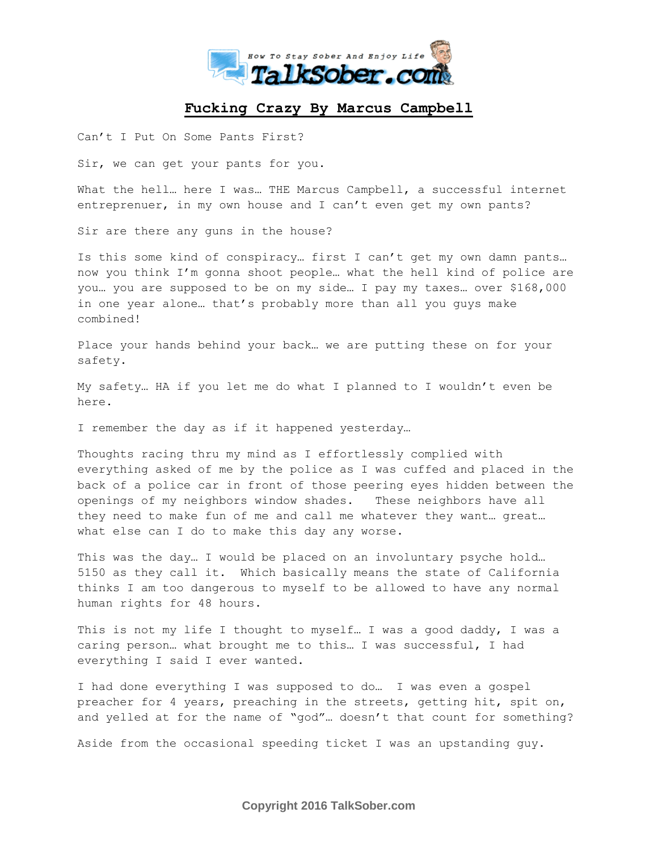

## **Fucking Crazy By Marcus Campbell**

Can't I Put On Some Pants First?

Sir, we can get your pants for you.

What the hell... here I was... THE Marcus Campbell, a successful internet entreprenuer, in my own house and I can't even get my own pants?

Sir are there any guns in the house?

Is this some kind of conspiracy… first I can't get my own damn pants… now you think I'm gonna shoot people… what the hell kind of police are you… you are supposed to be on my side… I pay my taxes… over \$168,000 in one year alone… that's probably more than all you guys make combined!

Place your hands behind your back… we are putting these on for your safety.

My safety… HA if you let me do what I planned to I wouldn't even be here.

I remember the day as if it happened yesterday…

Thoughts racing thru my mind as I effortlessly complied with everything asked of me by the police as I was cuffed and placed in the back of a police car in front of those peering eyes hidden between the openings of my neighbors window shades. These neighbors have all they need to make fun of me and call me whatever they want… great… what else can I do to make this day any worse.

This was the day… I would be placed on an involuntary psyche hold… 5150 as they call it. Which basically means the state of California thinks I am too dangerous to myself to be allowed to have any normal human rights for 48 hours.

This is not my life I thought to myself… I was a good daddy, I was a caring person… what brought me to this… I was successful, I had everything I said I ever wanted.

I had done everything I was supposed to do… I was even a gospel preacher for 4 years, preaching in the streets, getting hit, spit on, and yelled at for the name of "god"… doesn't that count for something?

Aside from the occasional speeding ticket I was an upstanding guy.

**Copyright 2016 TalkSober.com**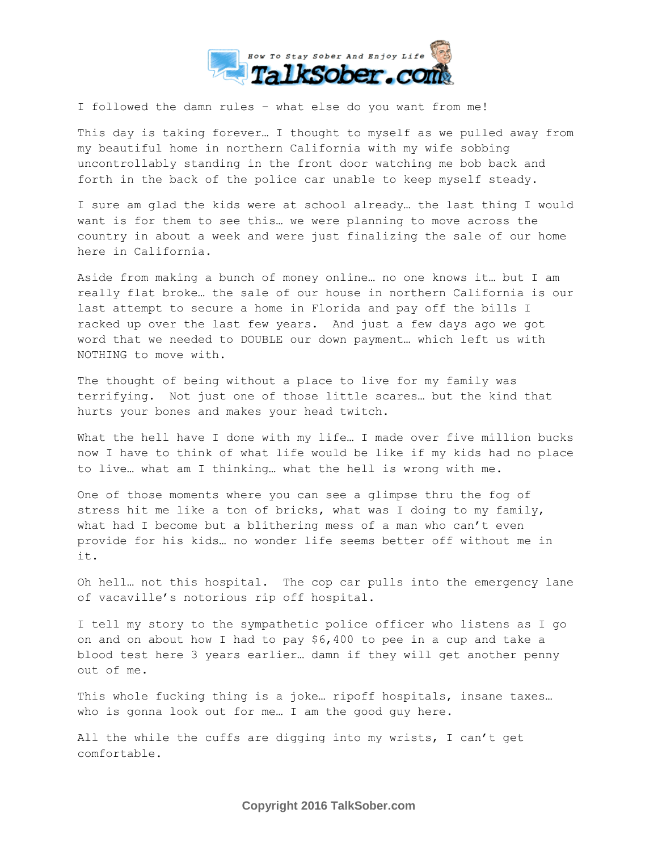

I followed the damn rules – what else do you want from me!

This day is taking forever… I thought to myself as we pulled away from my beautiful home in northern California with my wife sobbing uncontrollably standing in the front door watching me bob back and forth in the back of the police car unable to keep myself steady.

I sure am glad the kids were at school already… the last thing I would want is for them to see this… we were planning to move across the country in about a week and were just finalizing the sale of our home here in California.

Aside from making a bunch of money online… no one knows it… but I am really flat broke… the sale of our house in northern California is our last attempt to secure a home in Florida and pay off the bills I racked up over the last few years. And just a few days ago we got word that we needed to DOUBLE our down payment… which left us with NOTHING to move with.

The thought of being without a place to live for my family was terrifying. Not just one of those little scares… but the kind that hurts your bones and makes your head twitch.

What the hell have I done with my life… I made over five million bucks now I have to think of what life would be like if my kids had no place to live… what am I thinking… what the hell is wrong with me.

One of those moments where you can see a glimpse thru the fog of stress hit me like a ton of bricks, what was I doing to my family, what had I become but a blithering mess of a man who can't even provide for his kids… no wonder life seems better off without me in it.

Oh hell… not this hospital. The cop car pulls into the emergency lane of vacaville's notorious rip off hospital.

I tell my story to the sympathetic police officer who listens as I go on and on about how I had to pay \$6,400 to pee in a cup and take a blood test here 3 years earlier… damn if they will get another penny out of me.

This whole fucking thing is a joke… ripoff hospitals, insane taxes… who is gonna look out for me… I am the good guy here.

All the while the cuffs are digging into my wrists, I can't get comfortable.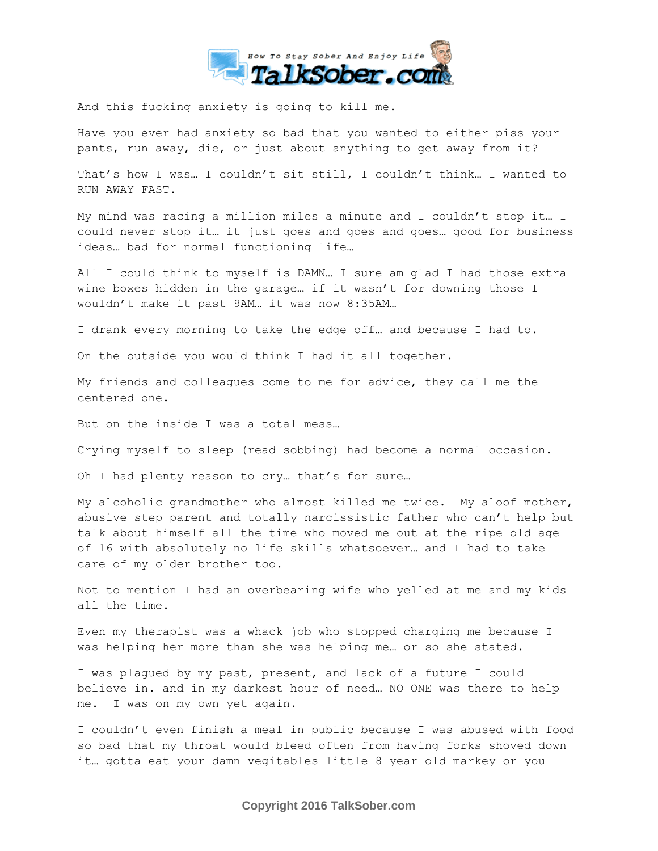

And this fucking anxiety is going to kill me.

Have you ever had anxiety so bad that you wanted to either piss your pants, run away, die, or just about anything to get away from it?

That's how I was… I couldn't sit still, I couldn't think… I wanted to RUN AWAY FAST.

My mind was racing a million miles a minute and I couldn't stop it… I could never stop it… it just goes and goes and goes… good for business ideas… bad for normal functioning life…

All I could think to myself is DAMN… I sure am glad I had those extra wine boxes hidden in the garage… if it wasn't for downing those I wouldn't make it past 9AM… it was now 8:35AM…

I drank every morning to take the edge off… and because I had to.

On the outside you would think I had it all together.

My friends and colleagues come to me for advice, they call me the centered one.

But on the inside I was a total mess…

Crying myself to sleep (read sobbing) had become a normal occasion.

Oh I had plenty reason to cry… that's for sure…

My alcoholic grandmother who almost killed me twice. My aloof mother, abusive step parent and totally narcissistic father who can't help but talk about himself all the time who moved me out at the ripe old age of 16 with absolutely no life skills whatsoever… and I had to take care of my older brother too.

Not to mention I had an overbearing wife who yelled at me and my kids all the time.

Even my therapist was a whack job who stopped charging me because I was helping her more than she was helping me… or so she stated.

I was plagued by my past, present, and lack of a future I could believe in. and in my darkest hour of need… NO ONE was there to help me. I was on my own yet again.

I couldn't even finish a meal in public because I was abused with food so bad that my throat would bleed often from having forks shoved down it… gotta eat your damn vegitables little 8 year old markey or you

**Copyright 2016 TalkSober.com**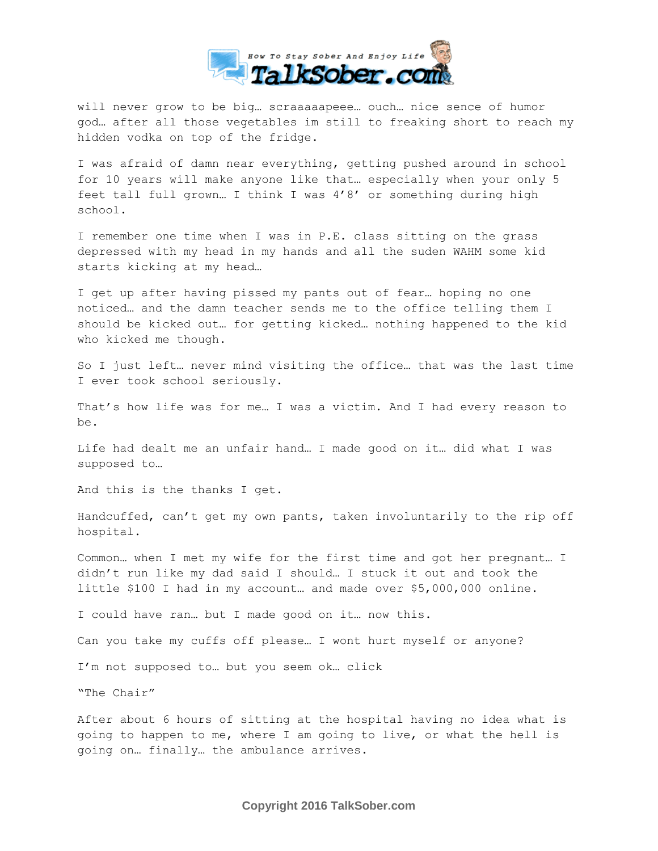

will never grow to be big… scraaaaapeee… ouch… nice sence of humor god… after all those vegetables im still to freaking short to reach my hidden vodka on top of the fridge.

I was afraid of damn near everything, getting pushed around in school for 10 years will make anyone like that… especially when your only 5 feet tall full grown… I think I was 4'8' or something during high school.

I remember one time when I was in P.E. class sitting on the grass depressed with my head in my hands and all the suden WAHM some kid starts kicking at my head…

I get up after having pissed my pants out of fear… hoping no one noticed… and the damn teacher sends me to the office telling them I should be kicked out… for getting kicked… nothing happened to the kid who kicked me though.

So I just left… never mind visiting the office… that was the last time I ever took school seriously.

That's how life was for me… I was a victim. And I had every reason to be.

Life had dealt me an unfair hand… I made good on it… did what I was supposed to…

And this is the thanks I get.

Handcuffed, can't get my own pants, taken involuntarily to the rip off hospital.

Common… when I met my wife for the first time and got her pregnant… I didn't run like my dad said I should… I stuck it out and took the little \$100 I had in my account… and made over \$5,000,000 online.

I could have ran… but I made good on it… now this.

Can you take my cuffs off please… I wont hurt myself or anyone?

I'm not supposed to… but you seem ok… click

"The Chair"

After about 6 hours of sitting at the hospital having no idea what is going to happen to me, where I am going to live, or what the hell is going on… finally… the ambulance arrives.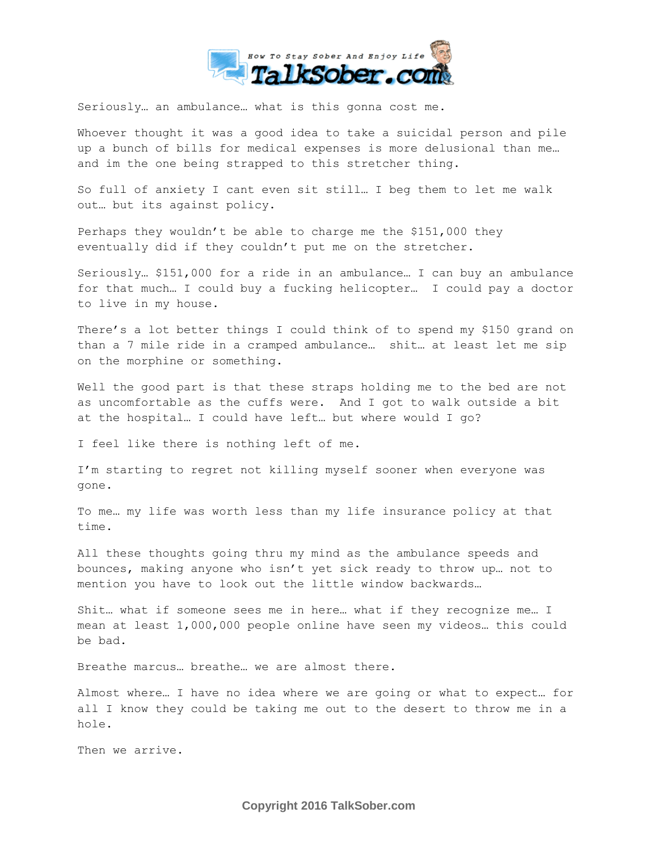

Seriously… an ambulance… what is this gonna cost me.

Whoever thought it was a good idea to take a suicidal person and pile up a bunch of bills for medical expenses is more delusional than me… and im the one being strapped to this stretcher thing.

So full of anxiety I cant even sit still… I beg them to let me walk out… but its against policy.

Perhaps they wouldn't be able to charge me the \$151,000 they eventually did if they couldn't put me on the stretcher.

Seriously… \$151,000 for a ride in an ambulance… I can buy an ambulance for that much… I could buy a fucking helicopter… I could pay a doctor to live in my house.

There's a lot better things I could think of to spend my \$150 grand on than a 7 mile ride in a cramped ambulance… shit… at least let me sip on the morphine or something.

Well the good part is that these straps holding me to the bed are not as uncomfortable as the cuffs were. And I got to walk outside a bit at the hospital… I could have left… but where would I go?

I feel like there is nothing left of me.

I'm starting to regret not killing myself sooner when everyone was gone.

To me… my life was worth less than my life insurance policy at that time.

All these thoughts going thru my mind as the ambulance speeds and bounces, making anyone who isn't yet sick ready to throw up… not to mention you have to look out the little window backwards…

Shit… what if someone sees me in here… what if they recognize me… I mean at least 1,000,000 people online have seen my videos… this could be bad.

Breathe marcus… breathe… we are almost there.

Almost where… I have no idea where we are going or what to expect… for all I know they could be taking me out to the desert to throw me in a hole.

Then we arrive.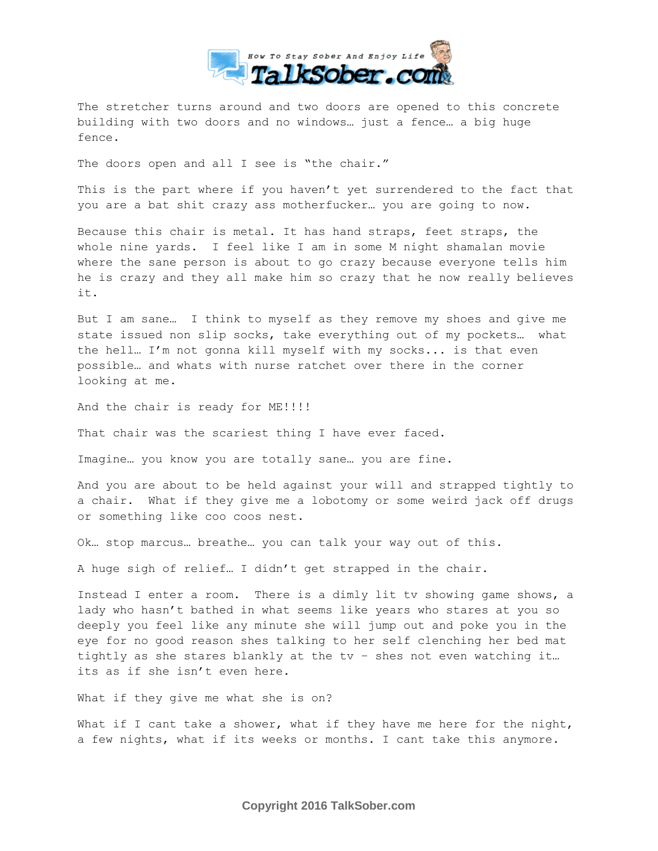

The stretcher turns around and two doors are opened to this concrete building with two doors and no windows… just a fence… a big huge fence.

The doors open and all I see is "the chair."

This is the part where if you haven't yet surrendered to the fact that you are a bat shit crazy ass motherfucker… you are going to now.

Because this chair is metal. It has hand straps, feet straps, the whole nine yards. I feel like I am in some M night shamalan movie where the sane person is about to go crazy because everyone tells him he is crazy and they all make him so crazy that he now really believes it.

But I am sane… I think to myself as they remove my shoes and give me state issued non slip socks, take everything out of my pockets… what the hell… I'm not gonna kill myself with my socks... is that even possible… and whats with nurse ratchet over there in the corner looking at me.

And the chair is ready for ME!!!!!

That chair was the scariest thing I have ever faced.

Imagine… you know you are totally sane… you are fine.

And you are about to be held against your will and strapped tightly to a chair. What if they give me a lobotomy or some weird jack off drugs or something like coo coos nest.

Ok… stop marcus… breathe… you can talk your way out of this.

A huge sigh of relief… I didn't get strapped in the chair.

Instead I enter a room. There is a dimly lit tv showing game shows, a lady who hasn't bathed in what seems like years who stares at you so deeply you feel like any minute she will jump out and poke you in the eye for no good reason shes talking to her self clenching her bed mat tightly as she stares blankly at the tv – shes not even watching it… its as if she isn't even here.

What if they give me what she is on?

What if I cant take a shower, what if they have me here for the night, a few nights, what if its weeks or months. I cant take this anymore.

**Copyright 2016 TalkSober.com**